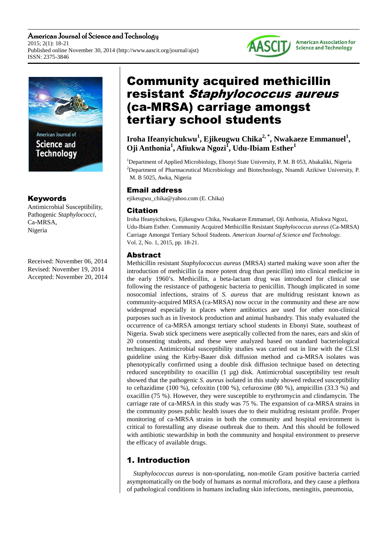American Journal of Science and Technology 2015; 2(1): 18-21 Published online November 30, 2014 (http://www.aascit.org/journal/ajst) ISSN: 2375-3846



## Keywords

Antimicrobial Susceptibility, Pathogenic *Staphylococci*, Ca-MRSA, Nigeria

Received: November 06, 2014 Revised: November 19, 2014 Accepted: November 20, 2014

# Community acquired methicillin resistant Staphylococcus aureus (ca-MRSA) carriage amongst tertiary school students

**AASCIT** 

**American Association for Science and Technology** 

**Iroha Ifeanyichukwu<sup>1</sup> , Ejikeugwu Chika2, \*, Nwakaeze Emmanuel<sup>1</sup> , Oji Anthonia<sup>1</sup> , Afiukwa Ngozi<sup>1</sup> , Udu-Ibiam Esther<sup>1</sup>**

<sup>1</sup>Department of Applied Microbiology, Ebonyi State University, P. M. B 053, Abakaliki, Nigeria <sup>2</sup>Department of Pharmaceutical Microbiology and Biotechnology, Nnamdi Azikiwe University, P. M. B 5025, Awka, Nigeria

### Email address

ejikeugwu\_chika@yahoo.com (E. Chika)

## Citation

Iroha Ifeanyichukwu, Ejikeugwu Chika, Nwakaeze Emmanuel, Oji Anthonia, Afiukwa Ngozi, Udu-Ibiam Esther. Community Acquired Methicillin Resistant *Staphylococcus aureus* (Ca-MRSA) Carriage Amongst Tertiary School Students. *American Journal of Science and Technology.* Vol. 2, No. 1, 2015, pp. 18-21.

## Abstract

Methicillin resistant *Staphylococcus aureus* (MRSA) started making wave soon after the introduction of methicillin (a more potent drug than penicillin) into clinical medicine in the early 1960's. Methicillin, a beta-lactam drug was introduced for clinical use following the resistance of pathogenic bacteria to penicillin. Though implicated in some nosocomial infections, strains of *S. aureus* that are multidrug resistant known as community-acquired MRSA (ca-MRSA) now occur in the community and these are now widespread especially in places where antibiotics are used for other non-clinical purposes such as in livestock production and animal husbandry. This study evaluated the occurrence of ca-MRSA amongst tertiary school students in Ebonyi State, southeast of Nigeria. Swab stick specimens were aseptically collected from the nares, ears and skin of 20 consenting students, and these were analyzed based on standard bacteriological techniques. Antimicrobial susceptibility studies was carried out in line with the CLSI guideline using the Kirby-Bauer disk diffusion method and ca-MRSA isolates was phenotypically confirmed using a double disk diffusion technique based on detecting reduced susceptibility to oxacillin (1 µg) disk. Antimicrobial susceptibility test result showed that the pathogenic *S. aureus* isolated in this study showed reduced susceptibility to ceftazidime (100 %), cefoxitin (100 %), cefuroxime (80 %), ampicillin (33.3 %) and oxacillin (75 %). However, they were susceptible to erythromycin and clindamycin. The carriage rate of ca-MRSA in this study was 75 %. The expansion of ca-MRSA strains in the community poses public health issues due to their multidrug resistant profile. Proper monitoring of ca-MRSA strains in both the community and hospital environment is critical to forestalling any disease outbreak due to them. And this should be followed with antibiotic stewardship in both the community and hospital environment to preserve the efficacy of available drugs.

# 1. Introduction

*Staphylococcus aureus* is non-sporulating, non-motile Gram positive bacteria carried asymptomatically on the body of humans as normal microflora, and they cause a plethora of pathological conditions in humans including skin infections, meningitis, pneumonia,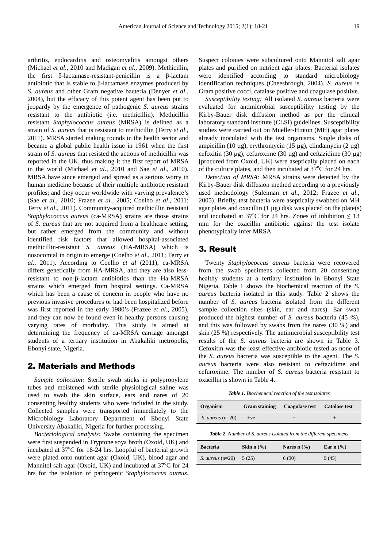arthritis, endocarditis and osteomyelitis amongst others (Michael *et al*., 2010 and Madigan *et al*., 2009). Methicillin, the first β-lactamase-resistant-penicillin is a β-lactam antibiotic that is stable to β-lactamase enzymes produced by *S. aureus* and other Gram negative bacteria (Denyer *et al*., 2004), but the efficacy of this potent agent has been put to jeopardy by the emergence of pathogenic *S. aureus* strains resistant to the antibiotic (i.e. methicillin). Methicillin resistant *Staphylococcus aureus* (MRSA) is defined as a strain of *S. aureus* that is resistant to methicillin (Terry *et al*., 2011). MRSA started making rounds in the health sector and became a global public health issue in 1961 when the first strain of *S. aureus* that resisted the actions of methicillin was reported in the UK, thus making it the first report of MRSA in the world (Michael *et al*., 2010 and Sae *et al*., 2010). MRSA have since emerged and spread as a serious worry in human medicine because of their multiple antibiotic resistant profiles; and they occur worldwide with varying prevalence's (Sae *et al*., 2010; Frazee *et al*., 2005; Coelho *et al*., 2011; Terry *et al*., 2011). Community-acquired methicillin resistant *Staphylococcus aureus* (ca-MRSA) strains are those strains of *S. aureus* that are not acquired from a healthcare setting, but rather emerged from the community and without identified risk factors that allowed hospital-associated methicillin-resistant *S. aureus* (HA-MRSA) which is nosocomial in origin to emerge (Coelho *et al*., 2011; Terry *et al*., 2011). According to Coelho *et al* (2011), ca-MRSA differs genetically from HA-MRSA, and they are also lessresistant to non-β-lactam antibiotics than the Ha-MRSA strains which emerged from hospital settings. Ca-MRSA which has been a cause of concern in people who have no previous invasive procedures or had been hospitalized before was first reported in the early 1980's (Frazee *et al*., 2005), and they can now be found even in healthy persons causing varying rates of morbidity. This study is aimed at determining the frequency of ca-MRSA carriage amongst students of a tertiary institution in Abakaliki metropolis, Ebonyi state, Nigeria.

### 2. Materials and Methods

*Sample collection:* Sterile swab sticks in polypropylene tubes and moistened with sterile physiological saline was used to swab the skin surface, ears and nares of 20 consenting healthy students who were included in the study. Collected samples were transported immediately to the Microbiology Laboratory Department of Ebonyi State University Abakaliki, Nigeria for further processing.

*Bacteriological analysis:* Swabs containing the specimen were first suspended in Tryptone soya broth (Oxoid, UK) and incubated at  $37^{\circ}$ C for 18-24 hrs. Loopful of bacterial growth were plated onto nutrient agar (Oxoid, UK), blood agar and Mannitol salt agar (Oxoid, UK) and incubated at  $37^{\circ}$ C for 24 hrs for the isolation of pathogenic *Staphylococcus aureus*.

Suspect colonies were subcultured onto Mannitol salt agar plates and purified on nutrient agar plates. Bacterial isolates were identified according to standard microbiology identification techniques (Cheesbrough, 2004). *S. aureus* is Gram positive cocci, catalase positive and coagulase positive.

*Susceptibility testing:* All isolated *S. aureus* bacteria were evaluated for antimicrobial susceptibility testing by the Kirby-Bauer disk diffusion method as per the clinical laboratory standard institute (CLSI) guidelines. Susceptibility studies were carried out on Mueller-Hinton (MH) agar plates already inoculated with the test organisms. Single disks of ampicillin (10  $\mu$ g), erythromycin (15  $\mu$ g), clindamycin (2  $\mu$ g) cefoxitin (30  $\mu$ g), cefuroxime (30  $\mu$ g) and ceftazidime (30  $\mu$ g) [procured from Oxoid, UK] were aseptically placed on each of the culture plates, and then incubated at  $37^{\circ}$ C for 24 hrs.

*Detection of MRSA:* MRSA strains were detected by the Kirby-Bauer disk diffusion method according to a previously used methodology (Suleiman *et al*., 2012; Frazee *et al*., 2005). Briefly, test bacteria were aseptically swabbed on MH agar plates and oxacillin  $(1 \mu g)$  disk was placed on the plate(s) and incubated at 37<sup>o</sup>C for 24 hrs. Zones of inhibition  $\leq 13$ mm for the oxacillin antibiotic against the test isolate phenotypically infer MRSA.

### 3. Result

Twenty *Staphylococcus aureus* bacteria were recovered from the swab specimens collected from 20 consenting healthy students at a tertiary institution in Ebonyi State Nigeria. Table 1 shows the biochemical reaction of the *S. aureus* bacteria isolated in this study. Table 2 shows the number of *S. aureus* bacteria isolated from the different sample collection sites (skin, ear and nares). Ear swab produced the highest number of *S. aureus* bacteria (45 %), and this was followed by swabs from the nares (30 %) and skin (25 %) respectively. The antimicrobial susceptibility test results of the *S. aureus* bacteria are shown in Table 3. Cefoxitin was the least effective antibiotic tested as none of the *S. aureus* bacteria was susceptible to the agent. The *S. aureus* bacteria were also resistant to ceftazidime and cefuroxime. The number of *S. aureus* bacteria resistant to oxacillin is shown in Table 4.

*Table 1. Biochemical reaction of the test isolates* 

| Organism                                                                  | <b>Gram staining</b> | <b>Coagulase test</b> | <b>Catalase test</b> |
|---------------------------------------------------------------------------|----------------------|-----------------------|----------------------|
| S. <i>aureus</i> $(n=20)$                                                 | $+ve$                |                       |                      |
| <b>Table 2.</b> Number of S. aureus isolated from the different specimens |                      |                       |                      |

| <b>Bacteria</b>           | Skin $n$ $\left(\frac{9}{6}\right)$ | Nares $n$ $\left(\frac{9}{6}\right)$ | Ear $n \frac{9}{6}$ |
|---------------------------|-------------------------------------|--------------------------------------|---------------------|
| S. <i>aureus</i> $(n=20)$ | 5(25)                               | 6(30)                                | 9(45)               |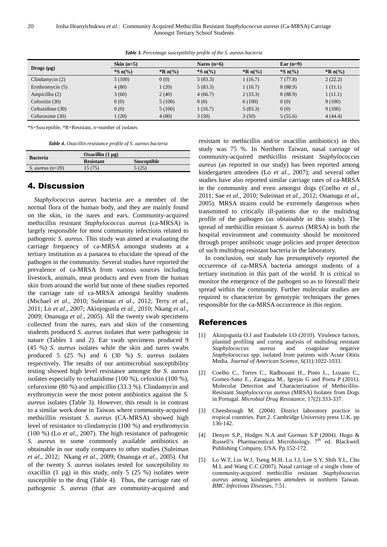| Drugs $(\mu g)$    | Skin $(n=5)$      |                   | Nares $(n=6)$ |                   | Ear $(n=9)$ |                   |
|--------------------|-------------------|-------------------|---------------|-------------------|-------------|-------------------|
|                    | *S $n\frac{6}{6}$ | *R $n\frac{6}{6}$ | $^*S_n($ %)   | *R $n\frac{6}{6}$ | $^*S_n($ %) | *R $n\frac{6}{6}$ |
| Clindamycin $(2)$  | 5(100)            | 0(0)              | 5(83.3)       | 1(16.7)           | 7(77.8)     | 2(22.2)           |
| Erythromycin $(5)$ | 4(80)             | 1(20)             | 5(83.3)       | 1(16.7)           | 8(88.9)     | 1(11.1)           |
| Ampicillin (2)     | 3(60)             | 2(40)             | 4(66.7)       | 2(33.3)           | 8(88.9)     | 1(11.1)           |
| Cefoxitin $(30)$   | 0(0)              | 5(100)            | 0(0)          | 6(100)            | 0(0)        | 9(100)            |
| Ceftazidime (30)   | 0(0)              | 5(100)            | 1(16.7)       | 5(83.3)           | 0(0)        | 9(100)            |
| Cefuroxime (30)    | 1(20)             | 4(80)             | 3(50)         | 3(50)             | 5(55.6)     | 4(44.4)           |

*Table 3. Percentage susceptibility profile of the S. aureus bacteria* 

\*S=Susceptible, \*R=Resistant, n=number of isolates

*Table 4. Oxacillin resistance profile of S. aureus bacteria* 

|                           | Oxacillin $(1 \mu g)$ |                    |  |
|---------------------------|-----------------------|--------------------|--|
| <b>Bacteria</b>           | <b>Resistant</b>      | <b>Susceptible</b> |  |
| S. <i>aureus</i> $(n=20)$ | 15(75)                | 5(25)              |  |

### 4. Discussion

*Staphylococcus aureus* bacteria are a member of the normal flora of the human body, and they are mainly found on the skin, in the nares and ears. Community-acquired methicillin resistant *Staphylococcus aureus* (ca-MRSA) is largely responsible for most community infections related to pathogenic *S. aureus*. This study was aimed at evaluating the carriage frequency of ca-MRSA amongst students at a tertiary institution as a panacea to elucidate the spread of the pathogen in the community. Several studies have reported the prevalence of ca-MRSA from various sources including livestock, animals, meat products and even from the human skin from around the world but none of these studies reported the carriage rate of ca-MRSA amongst healthy students (Michael *et al*., 2010; Suleiman *et al*., 2012; Terry *et al*., 2011; Lo *et al*., 2007; Akinjogunla *et al*., 2010; Nkang *et al*., 2009; Onanuga *et al*., 2005). All the twenty swab specimens collected from the nares, ears and skin of the consenting students produced *S. aureus* isolates that were pathogenic in nature (Tables 1 and 2). Ear swab specimens produced 9 (45 %) *S. aureus* isolates while the skin and nares swabs produced 5 (25 %) and 6 (30 %) *S. aureus* isolates respectively. The results of our antimicrobial susceptibility testing showed high level resistance amongst the *S. aureus*  isolates especially to ceftazidime (100 %), cefoxitin (100 %), cefuroxime (80 %) and ampicillin (33.3 %). Clindamycin and erythromycin were the most potent antibiotics against the *S. aureus* isolates (Table 3). However, this result is in contrast to a similar work done in Taiwan where community-acquired methicillin resistant *S. aureus* (CA-MRSA) showed high level of resistance to clindamycin (100 %) and erythromycin (100 %) (Lo *et al*., 2007). The high resistance of pathogenic *S. aureus* to some commonly available antibiotics as obtainable in our study compares to other studies (Suleiman *et al*., 2012; Nkang *et al*., 2009; Onanuga *et al*., 2005). Out of the twenty *S. aureus* isolates tested for susceptibility to oxacillin  $(1 \mu g)$  in this study, only 5 (25 %) isolates were susceptible to the drug (Table 4). Thus, the carriage rate of pathogenic *S. aureus* (that are community-acquired and

resistant to methicillin and/or oxacillin antibiotics) in this study was 75 %. In Northern Taiwan, nasal carriage of community-acquired methicillin resistant *Staphylococcus aureus* (as reported in our study) has been reported among kindergarten attendees (Lo *et al*., 2007); and several other studies have also reported similar carriage rates of ca-MRSA in the community and even amongst dogs (Coelho *et al*., 2011; Sae *et al*., 2010; Suleiman *et al*., 2012; Onanuga *et al*., 2005). MRSA strains could be extremely dangerous when transmitted to critically ill-patients due to the multidrug profile of the pathogen (as obtainable in this study). The spread of methicillin resistant *S. aureus* (MRSA) in both the hospital environment and community should be monitored through proper antibiotic usage policies and proper detection of such multidrug resistant bacteria in the laboratory.

In conclusion, our study has presumptively reported the occurrence of ca-MRSA bacteria amongst students of a tertiary institution in this part of the world. It is critical to monitor the emergence of the pathogen so as to forestall their spread within the community. Further molecular studies are required to characterize by genotypic techniques the genes responsible for the ca-MRSA occurrence in this region.

## References

- [1] Akinjogunla O.J and Enabulele I.O (2010). Virulence factors, plasmid profiling and curing analysis of multidrug resistant *Staphylococcus aureus* and coagulase negative *Staphylococcus* spp. isolated from patients with Acute Otitis Media. *Journal of American Science*, 6(11):1022-1033.
- [2] Coelho C., Torres C., Radhouani H., Pinto L., Lozano C., Gomez-Sanz E., Zaragaza M., Igrejas G and Poeta P (2011). Molecular Detection and Characterization of Methicillin-Resistant *Staphylococcus aureus* (MRSA) Isolates from Dogs in Portugal. *Microbial Drug Resistance*, 17(2):333-337.
- [3] Cheesbrough M. (2004). District laboratory practice in tropical countries. Part 2. Cambridge University press U.K. pp 136-142.
- [4] Denyer S.P., Hodges N.A and Gorman S.P (2004). Hugo & Russell's Pharmaceutical Microbiology. 7<sup>th</sup> ed. Blackwell Publishing Company, USA. Pp.152-172.
- [5] Lo W.T, Lin W.J, Tseng M.H, Lu J.J, Lee S.Y, Shih Y.L, Chu M.L and Wang C.C (2007). Nasal carriage of a single clone of community-acquired methicillin resistant *Staphylococcus aureus* among kindergarten attendees in northern Taiwan. *BMC Infectious Diseases,* 7:51.